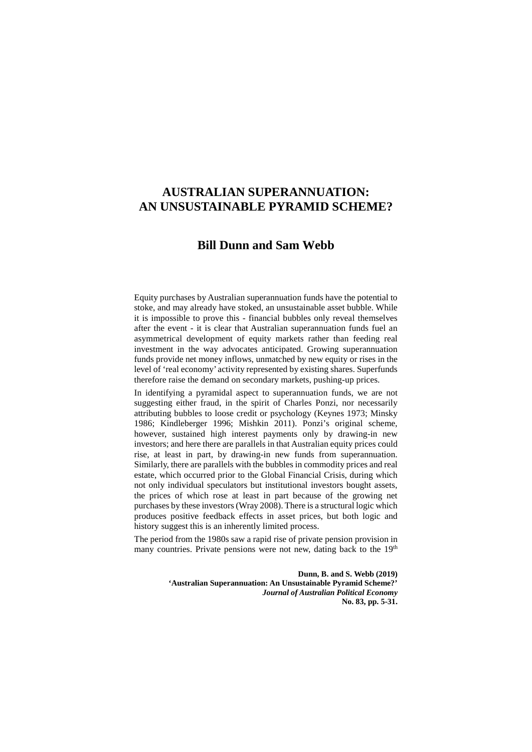# **AUSTRALIAN SUPERANNUATION: AN UNSUSTAINABLE PYRAMID SCHEME?**

# **Bill Dunn and Sam Webb**

Equity purchases by Australian superannuation funds have the potential to stoke, and may already have stoked, an unsustainable asset bubble. While it is impossible to prove this - financial bubbles only reveal themselves after the event - it is clear that Australian superannuation funds fuel an asymmetrical development of equity markets rather than feeding real investment in the way advocates anticipated. Growing superannuation funds provide net money inflows, unmatched by new equity or rises in the level of 'real economy' activity represented by existing shares. Superfunds therefore raise the demand on secondary markets, pushing-up prices.

In identifying a pyramidal aspect to superannuation funds, we are not suggesting either fraud, in the spirit of Charles Ponzi, nor necessarily attributing bubbles to loose credit or psychology (Keynes 1973; Minsky 1986; Kindleberger 1996; Mishkin 2011). Ponzi's original scheme, however, sustained high interest payments only by drawing-in new investors; and here there are parallels in that Australian equity prices could rise, at least in part, by drawing-in new funds from superannuation. Similarly, there are parallels with the bubbles in commodity prices and real estate, which occurred prior to the Global Financial Crisis, during which not only individual speculators but institutional investors bought assets, the prices of which rose at least in part because of the growing net purchases by these investors (Wray 2008). There is a structural logic which produces positive feedback effects in asset prices, but both logic and history suggest this is an inherently limited process.

The period from the 1980s saw a rapid rise of private pension provision in many countries. Private pensions were not new, dating back to the  $19<sup>th</sup>$ 

> **Dunn, B. and S. Webb (2019) 'Australian Superannuation: An Unsustainable Pyramid Scheme?'**  *Journal of Australian Political Economy* **No. 83, pp. 5-31.**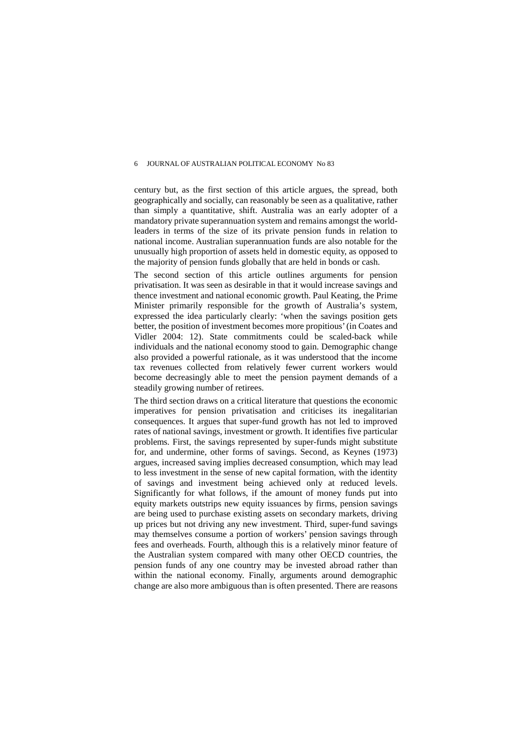century but, as the first section of this article argues, the spread, both geographically and socially, can reasonably be seen as a qualitative, rather than simply a quantitative, shift. Australia was an early adopter of a mandatory private superannuation system and remains amongst the worldleaders in terms of the size of its private pension funds in relation to national income. Australian superannuation funds are also notable for the unusually high proportion of assets held in domestic equity, as opposed to the majority of pension funds globally that are held in bonds or cash.

The second section of this article outlines arguments for pension privatisation. It was seen as desirable in that it would increase savings and thence investment and national economic growth. Paul Keating, the Prime Minister primarily responsible for the growth of Australia's system, expressed the idea particularly clearly: 'when the savings position gets better, the position of investment becomes more propitious' (in Coates and Vidler 2004: 12). State commitments could be scaled-back while individuals and the national economy stood to gain. Demographic change also provided a powerful rationale, as it was understood that the income tax revenues collected from relatively fewer current workers would become decreasingly able to meet the pension payment demands of a steadily growing number of retirees.

The third section draws on a critical literature that questions the economic imperatives for pension privatisation and criticises its inegalitarian consequences. It argues that super-fund growth has not led to improved rates of national savings, investment or growth. It identifies five particular problems. First, the savings represented by super-funds might substitute for, and undermine, other forms of savings. Second, as Keynes (1973) argues, increased saving implies decreased consumption, which may lead to less investment in the sense of new capital formation, with the identity of savings and investment being achieved only at reduced levels. Significantly for what follows, if the amount of money funds put into equity markets outstrips new equity issuances by firms, pension savings are being used to purchase existing assets on secondary markets, driving up prices but not driving any new investment. Third, super-fund savings may themselves consume a portion of workers' pension savings through fees and overheads. Fourth, although this is a relatively minor feature of the Australian system compared with many other OECD countries, the pension funds of any one country may be invested abroad rather than within the national economy. Finally, arguments around demographic change are also more ambiguous than is often presented. There are reasons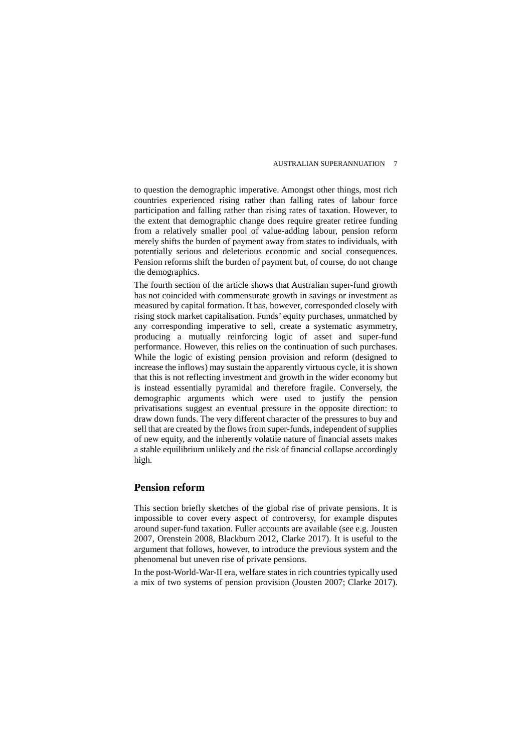to question the demographic imperative. Amongst other things, most rich countries experienced rising rather than falling rates of labour force participation and falling rather than rising rates of taxation. However, to the extent that demographic change does require greater retiree funding from a relatively smaller pool of value-adding labour, pension reform merely shifts the burden of payment away from states to individuals, with potentially serious and deleterious economic and social consequences. Pension reforms shift the burden of payment but, of course, do not change the demographics.

The fourth section of the article shows that Australian super-fund growth has not coincided with commensurate growth in savings or investment as measured by capital formation. It has, however, corresponded closely with rising stock market capitalisation. Funds' equity purchases, unmatched by any corresponding imperative to sell, create a systematic asymmetry, producing a mutually reinforcing logic of asset and super-fund performance. However, this relies on the continuation of such purchases. While the logic of existing pension provision and reform (designed to increase the inflows) may sustain the apparently virtuous cycle, it is shown that this is not reflecting investment and growth in the wider economy but is instead essentially pyramidal and therefore fragile. Conversely, the demographic arguments which were used to justify the pension privatisations suggest an eventual pressure in the opposite direction: to draw down funds. The very different character of the pressures to buy and sell that are created by the flows from super-funds, independent of supplies of new equity, and the inherently volatile nature of financial assets makes a stable equilibrium unlikely and the risk of financial collapse accordingly high.

# **Pension reform**

This section briefly sketches of the global rise of private pensions. It is impossible to cover every aspect of controversy, for example disputes around super-fund taxation. Fuller accounts are available (see e.g. Jousten 2007, Orenstein 2008, Blackburn 2012, Clarke 2017). It is useful to the argument that follows, however, to introduce the previous system and the phenomenal but uneven rise of private pensions.

In the post-World-War-II era, welfare states in rich countries typically used a mix of two systems of pension provision (Jousten 2007; Clarke 2017).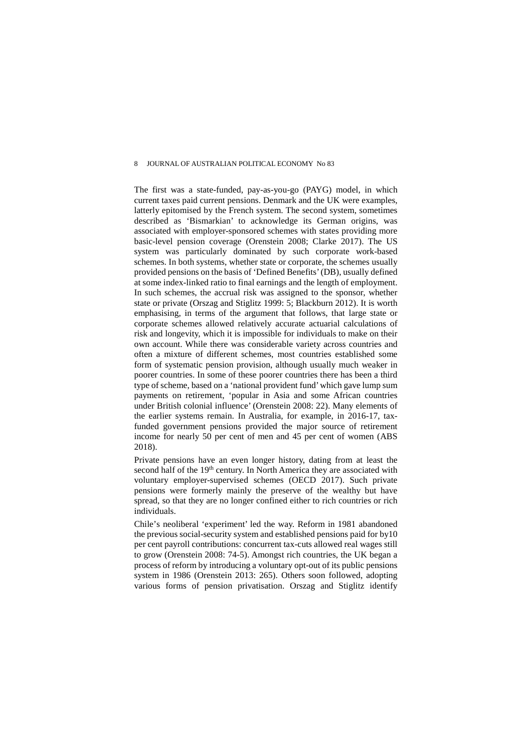The first was a state-funded, pay-as-you-go (PAYG) model, in which current taxes paid current pensions. Denmark and the UK were examples, latterly epitomised by the French system. The second system, sometimes described as 'Bismarkian' to acknowledge its German origins, was associated with employer-sponsored schemes with states providing more basic-level pension coverage (Orenstein 2008; Clarke 2017). The US system was particularly dominated by such corporate work-based schemes. In both systems, whether state or corporate, the schemes usually provided pensions on the basis of 'Defined Benefits' (DB), usually defined at some index-linked ratio to final earnings and the length of employment. In such schemes, the accrual risk was assigned to the sponsor, whether state or private (Orszag and Stiglitz 1999: 5; Blackburn 2012). It is worth emphasising, in terms of the argument that follows, that large state or corporate schemes allowed relatively accurate actuarial calculations of risk and longevity, which it is impossible for individuals to make on their own account. While there was considerable variety across countries and often a mixture of different schemes, most countries established some form of systematic pension provision, although usually much weaker in poorer countries. In some of these poorer countries there has been a third type of scheme, based on a 'national provident fund' which gave lump sum payments on retirement, 'popular in Asia and some African countries under British colonial influence' (Orenstein 2008: 22). Many elements of the earlier systems remain. In Australia, for example, in 2016-17, taxfunded government pensions provided the major source of retirement income for nearly 50 per cent of men and 45 per cent of women (ABS 2018).

Private pensions have an even longer history, dating from at least the second half of the 19<sup>th</sup> century. In North America they are associated with voluntary employer-supervised schemes (OECD 2017). Such private pensions were formerly mainly the preserve of the wealthy but have spread, so that they are no longer confined either to rich countries or rich individuals.

Chile's neoliberal 'experiment' led the way. Reform in 1981 abandoned the previous social-security system and established pensions paid for by10 per cent payroll contributions: concurrent tax-cuts allowed real wages still to grow (Orenstein 2008: 74-5). Amongst rich countries, the UK began a process of reform by introducing a voluntary opt-out of its public pensions system in 1986 (Orenstein 2013: 265). Others soon followed, adopting various forms of pension privatisation. Orszag and Stiglitz identify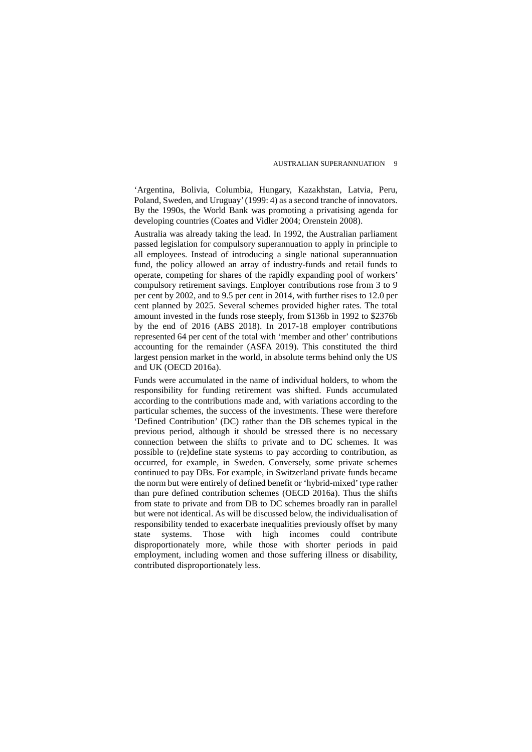'Argentina, Bolivia, Columbia, Hungary, Kazakhstan, Latvia, Peru, Poland, Sweden, and Uruguay' (1999: 4) as a second tranche of innovators. By the 1990s, the World Bank was promoting a privatising agenda for developing countries (Coates and Vidler 2004; Orenstein 2008).

Australia was already taking the lead. In 1992, the Australian parliament passed legislation for compulsory superannuation to apply in principle to all employees. Instead of introducing a single national superannuation fund, the policy allowed an array of industry-funds and retail funds to operate, competing for shares of the rapidly expanding pool of workers' compulsory retirement savings. Employer contributions rose from 3 to 9 per cent by 2002, and to 9.5 per cent in 2014, with further rises to 12.0 per cent planned by 2025. Several schemes provided higher rates. The total amount invested in the funds rose steeply, from \$136b in 1992 to \$2376b by the end of 2016 (ABS 2018). In 2017-18 employer contributions represented 64 per cent of the total with 'member and other' contributions accounting for the remainder (ASFA 2019). This constituted the third largest pension market in the world, in absolute terms behind only the US and UK (OECD 2016a).

Funds were accumulated in the name of individual holders, to whom the responsibility for funding retirement was shifted. Funds accumulated according to the contributions made and, with variations according to the particular schemes, the success of the investments. These were therefore 'Defined Contribution' (DC) rather than the DB schemes typical in the previous period, although it should be stressed there is no necessary connection between the shifts to private and to DC schemes. It was possible to (re)define state systems to pay according to contribution, as occurred, for example, in Sweden. Conversely, some private schemes continued to pay DBs. For example, in Switzerland private funds became the norm but were entirely of defined benefit or 'hybrid-mixed' type rather than pure defined contribution schemes (OECD 2016a). Thus the shifts from state to private and from DB to DC schemes broadly ran in parallel but were not identical. As will be discussed below, the individualisation of responsibility tended to exacerbate inequalities previously offset by many state systems. Those with high incomes could contribute disproportionately more, while those with shorter periods in paid employment, including women and those suffering illness or disability, contributed disproportionately less.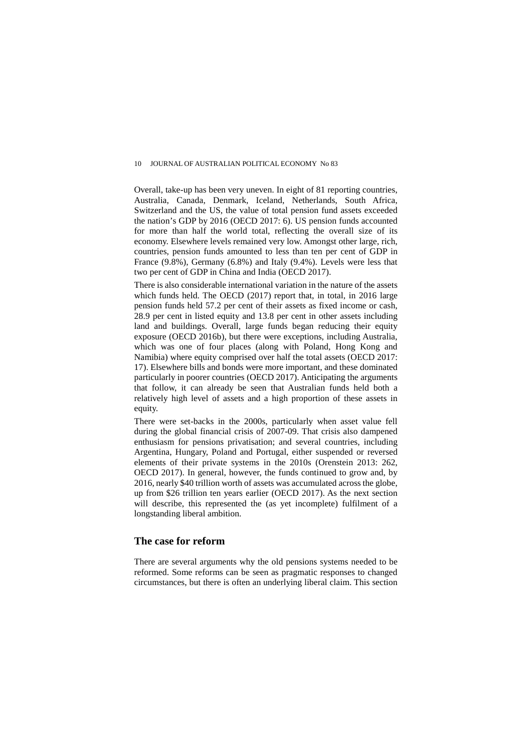Overall, take-up has been very uneven. In eight of 81 reporting countries, Australia, Canada, Denmark, Iceland, Netherlands, South Africa, Switzerland and the US, the value of total pension fund assets exceeded the nation's GDP by 2016 (OECD 2017: 6). US pension funds accounted for more than half the world total, reflecting the overall size of its economy. Elsewhere levels remained very low. Amongst other large, rich, countries, pension funds amounted to less than ten per cent of GDP in France (9.8%), Germany (6.8%) and Italy (9.4%). Levels were less that two per cent of GDP in China and India (OECD 2017).

There is also considerable international variation in the nature of the assets which funds held. The OECD (2017) report that, in total, in 2016 large pension funds held 57.2 per cent of their assets as fixed income or cash, 28.9 per cent in listed equity and 13.8 per cent in other assets including land and buildings. Overall, large funds began reducing their equity exposure (OECD 2016b), but there were exceptions, including Australia, which was one of four places (along with Poland, Hong Kong and Namibia) where equity comprised over half the total assets (OECD 2017: 17). Elsewhere bills and bonds were more important, and these dominated particularly in poorer countries (OECD 2017). Anticipating the arguments that follow, it can already be seen that Australian funds held both a relatively high level of assets and a high proportion of these assets in equity.

There were set-backs in the 2000s, particularly when asset value fell during the global financial crisis of 2007-09. That crisis also dampened enthusiasm for pensions privatisation; and several countries, including Argentina, Hungary, Poland and Portugal, either suspended or reversed elements of their private systems in the 2010s (Orenstein 2013: 262, OECD 2017). In general, however, the funds continued to grow and, by 2016, nearly \$40 trillion worth of assets was accumulated across the globe, up from \$26 trillion ten years earlier (OECD 2017). As the next section will describe, this represented the (as yet incomplete) fulfilment of a longstanding liberal ambition.

# **The case for reform**

There are several arguments why the old pensions systems needed to be reformed. Some reforms can be seen as pragmatic responses to changed circumstances, but there is often an underlying liberal claim. This section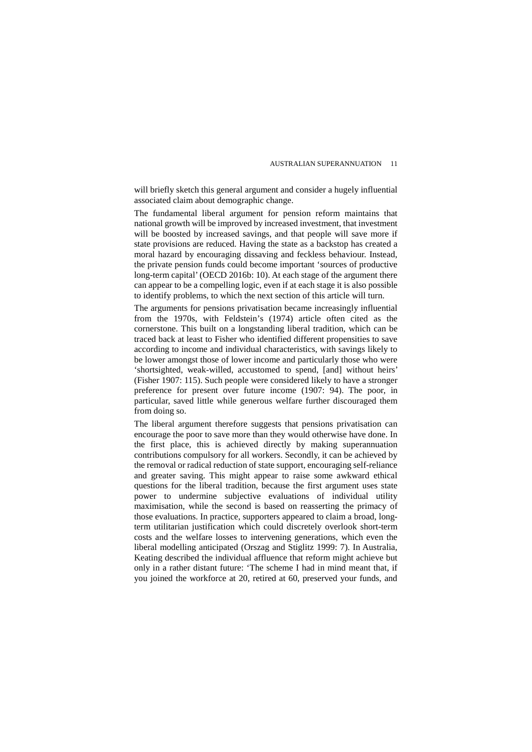will briefly sketch this general argument and consider a hugely influential associated claim about demographic change.

The fundamental liberal argument for pension reform maintains that national growth will be improved by increased investment, that investment will be boosted by increased savings, and that people will save more if state provisions are reduced. Having the state as a backstop has created a moral hazard by encouraging dissaving and feckless behaviour. Instead, the private pension funds could become important 'sources of productive long-term capital' (OECD 2016b: 10). At each stage of the argument there can appear to be a compelling logic, even if at each stage it is also possible to identify problems, to which the next section of this article will turn.

The arguments for pensions privatisation became increasingly influential from the 1970s, with Feldstein's (1974) article often cited as the cornerstone. This built on a longstanding liberal tradition, which can be traced back at least to Fisher who identified different propensities to save according to income and individual characteristics, with savings likely to be lower amongst those of lower income and particularly those who were 'shortsighted, weak-willed, accustomed to spend, [and] without heirs' (Fisher 1907: 115). Such people were considered likely to have a stronger preference for present over future income (1907: 94). The poor, in particular, saved little while generous welfare further discouraged them from doing so.

The liberal argument therefore suggests that pensions privatisation can encourage the poor to save more than they would otherwise have done. In the first place, this is achieved directly by making superannuation contributions compulsory for all workers. Secondly, it can be achieved by the removal or radical reduction of state support, encouraging self-reliance and greater saving. This might appear to raise some awkward ethical questions for the liberal tradition, because the first argument uses state power to undermine subjective evaluations of individual utility maximisation, while the second is based on reasserting the primacy of those evaluations. In practice, supporters appeared to claim a broad, longterm utilitarian justification which could discretely overlook short-term costs and the welfare losses to intervening generations, which even the liberal modelling anticipated (Orszag and Stiglitz 1999: 7). In Australia, Keating described the individual affluence that reform might achieve but only in a rather distant future: 'The scheme I had in mind meant that, if you joined the workforce at 20, retired at 60, preserved your funds, and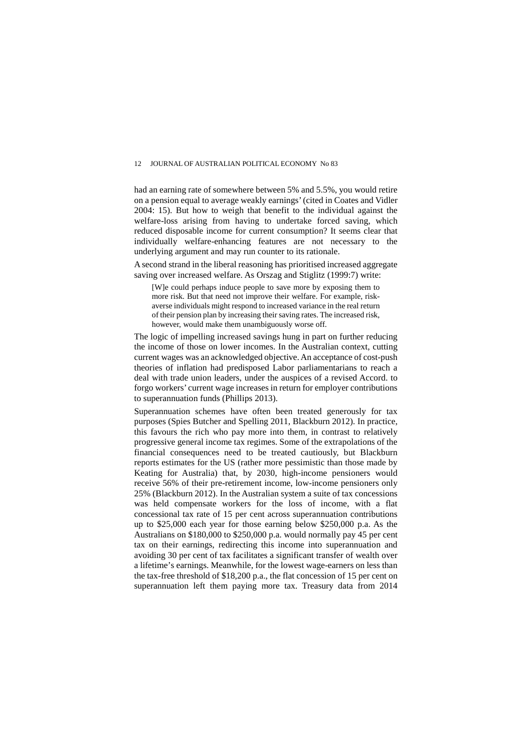had an earning rate of somewhere between 5% and 5.5%, you would retire on a pension equal to average weakly earnings' (cited in Coates and Vidler 2004: 15). But how to weigh that benefit to the individual against the welfare-loss arising from having to undertake forced saving, which reduced disposable income for current consumption? It seems clear that individually welfare-enhancing features are not necessary to the underlying argument and may run counter to its rationale.

A second strand in the liberal reasoning has prioritised increased aggregate saving over increased welfare. As Orszag and Stiglitz (1999:7) write:

[W]e could perhaps induce people to save more by exposing them to more risk. But that need not improve their welfare. For example, riskaverse individuals might respond to increased variance in the real return of their pension plan by increasing their saving rates. The increased risk, however, would make them unambiguously worse off.

The logic of impelling increased savings hung in part on further reducing the income of those on lower incomes. In the Australian context, cutting current wages was an acknowledged objective. An acceptance of cost-push theories of inflation had predisposed Labor parliamentarians to reach a deal with trade union leaders, under the auspices of a revised Accord. to forgo workers' current wage increases in return for employer contributions to superannuation funds (Phillips 2013).

Superannuation schemes have often been treated generously for tax purposes (Spies Butcher and Spelling 2011, Blackburn 2012). In practice, this favours the rich who pay more into them, in contrast to relatively progressive general income tax regimes. Some of the extrapolations of the financial consequences need to be treated cautiously, but Blackburn reports estimates for the US (rather more pessimistic than those made by Keating for Australia) that, by 2030, high-income pensioners would receive 56% of their pre-retirement income, low-income pensioners only 25% (Blackburn 2012). In the Australian system a suite of tax concessions was held compensate workers for the loss of income, with a flat concessional tax rate of 15 per cent across superannuation contributions up to \$25,000 each year for those earning below \$250,000 p.a. As the Australians on \$180,000 to \$250,000 p.a. would normally pay 45 per cent tax on their earnings, redirecting this income into superannuation and avoiding 30 per cent of tax facilitates a significant transfer of wealth over a lifetime's earnings. Meanwhile, for the lowest wage-earners on less than the tax-free threshold of \$18,200 p.a., the flat concession of 15 per cent on superannuation left them paying more tax. Treasury data from 2014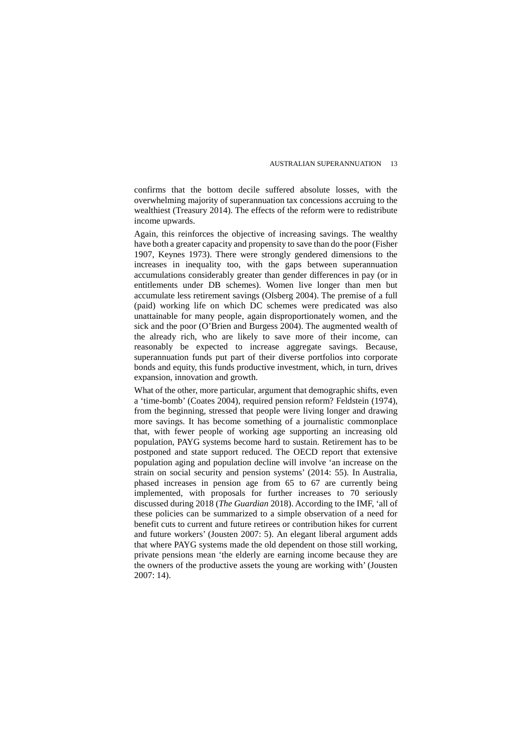confirms that the bottom decile suffered absolute losses, with the overwhelming majority of superannuation tax concessions accruing to the wealthiest (Treasury 2014). The effects of the reform were to redistribute income upwards.

Again, this reinforces the objective of increasing savings. The wealthy have both a greater capacity and propensity to save than do the poor (Fisher 1907, Keynes 1973). There were strongly gendered dimensions to the increases in inequality too, with the gaps between superannuation accumulations considerably greater than gender differences in pay (or in entitlements under DB schemes). Women live longer than men but accumulate less retirement savings (Olsberg 2004). The premise of a full (paid) working life on which DC schemes were predicated was also unattainable for many people, again disproportionately women, and the sick and the poor (O'Brien and Burgess 2004). The augmented wealth of the already rich, who are likely to save more of their income, can reasonably be expected to increase aggregate savings. Because, superannuation funds put part of their diverse portfolios into corporate bonds and equity, this funds productive investment, which, in turn, drives expansion, innovation and growth.

What of the other, more particular, argument that demographic shifts, even a 'time-bomb' (Coates 2004), required pension reform? Feldstein (1974), from the beginning, stressed that people were living longer and drawing more savings. It has become something of a journalistic commonplace that, with fewer people of working age supporting an increasing old population, PAYG systems become hard to sustain. Retirement has to be postponed and state support reduced. The OECD report that extensive population aging and population decline will involve 'an increase on the strain on social security and pension systems' (2014: 55). In Australia, phased increases in pension age from 65 to 67 are currently being implemented, with proposals for further increases to 70 seriously discussed during 2018 (*The Guardian* 2018). According to the IMF, 'all of these policies can be summarized to a simple observation of a need for benefit cuts to current and future retirees or contribution hikes for current and future workers' (Jousten 2007: 5). An elegant liberal argument adds that where PAYG systems made the old dependent on those still working, private pensions mean 'the elderly are earning income because they are the owners of the productive assets the young are working with' (Jousten 2007: 14).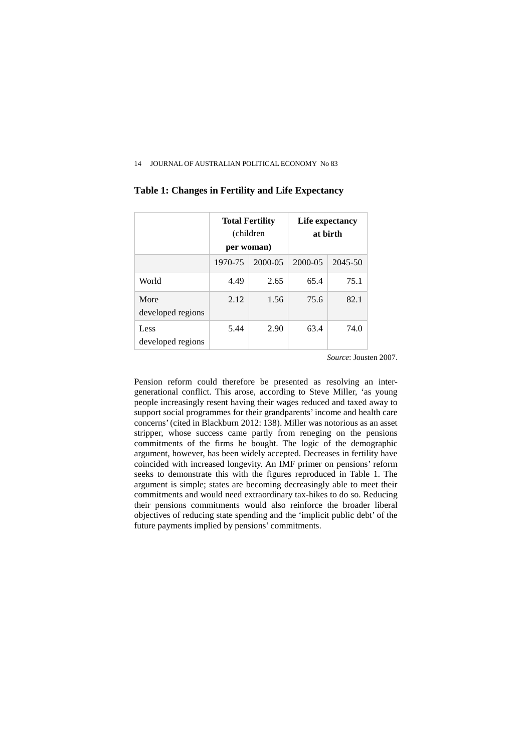|                           | <b>Total Fertility</b><br>(children)<br>per woman) |         | Life expectancy<br>at birth |         |
|---------------------------|----------------------------------------------------|---------|-----------------------------|---------|
|                           | 1970-75                                            | 2000-05 | 2000-05                     | 2045-50 |
| World                     | 4.49                                               | 2.65    | 65.4                        | 75.1    |
| More<br>developed regions | 2.12                                               | 1.56    | 75.6                        | 82.1    |
| Less<br>developed regions | 5.44                                               | 2.90    | 63.4                        | 74.0    |

# **Table 1: Changes in Fertility and Life Expectancy**

*Source*: Jousten 2007.

Pension reform could therefore be presented as resolving an intergenerational conflict. This arose, according to Steve Miller, 'as young people increasingly resent having their wages reduced and taxed away to support social programmes for their grandparents' income and health care concerns' (cited in Blackburn 2012: 138). Miller was notorious as an asset stripper, whose success came partly from reneging on the pensions commitments of the firms he bought. The logic of the demographic argument, however, has been widely accepted. Decreases in fertility have coincided with increased longevity. An IMF primer on pensions' reform seeks to demonstrate this with the figures reproduced in Table 1. The argument is simple; states are becoming decreasingly able to meet their commitments and would need extraordinary tax-hikes to do so. Reducing their pensions commitments would also reinforce the broader liberal objectives of reducing state spending and the 'implicit public debt' of the future payments implied by pensions' commitments.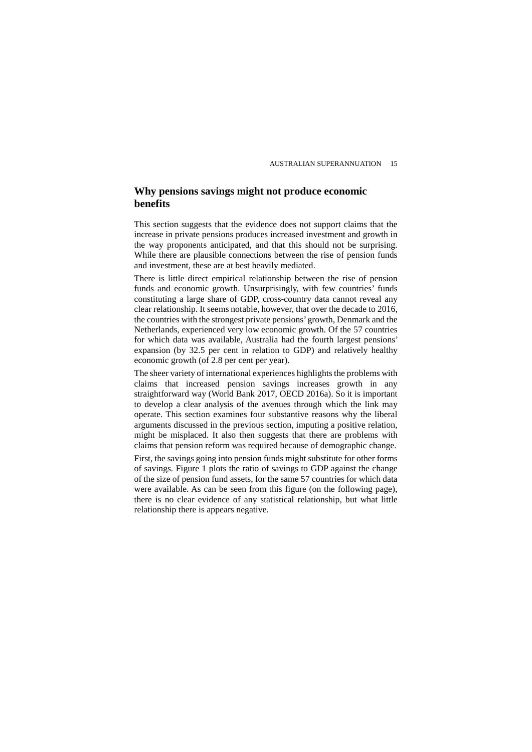# **Why pensions savings might not produce economic benefits**

This section suggests that the evidence does not support claims that the increase in private pensions produces increased investment and growth in the way proponents anticipated, and that this should not be surprising. While there are plausible connections between the rise of pension funds and investment, these are at best heavily mediated.

There is little direct empirical relationship between the rise of pension funds and economic growth. Unsurprisingly, with few countries' funds constituting a large share of GDP, cross-country data cannot reveal any clear relationship. It seems notable, however, that over the decade to 2016, the countries with the strongest private pensions' growth, Denmark and the Netherlands, experienced very low economic growth. Of the 57 countries for which data was available, Australia had the fourth largest pensions' expansion (by 32.5 per cent in relation to GDP) and relatively healthy economic growth (of 2.8 per cent per year).

The sheer variety of international experiences highlights the problems with claims that increased pension savings increases growth in any straightforward way (World Bank 2017, OECD 2016a). So it is important to develop a clear analysis of the avenues through which the link may operate. This section examines four substantive reasons why the liberal arguments discussed in the previous section, imputing a positive relation, might be misplaced. It also then suggests that there are problems with claims that pension reform was required because of demographic change.

First, the savings going into pension funds might substitute for other forms of savings. Figure 1 plots the ratio of savings to GDP against the change of the size of pension fund assets, for the same 57 countries for which data were available. As can be seen from this figure (on the following page), there is no clear evidence of any statistical relationship, but what little relationship there is appears negative.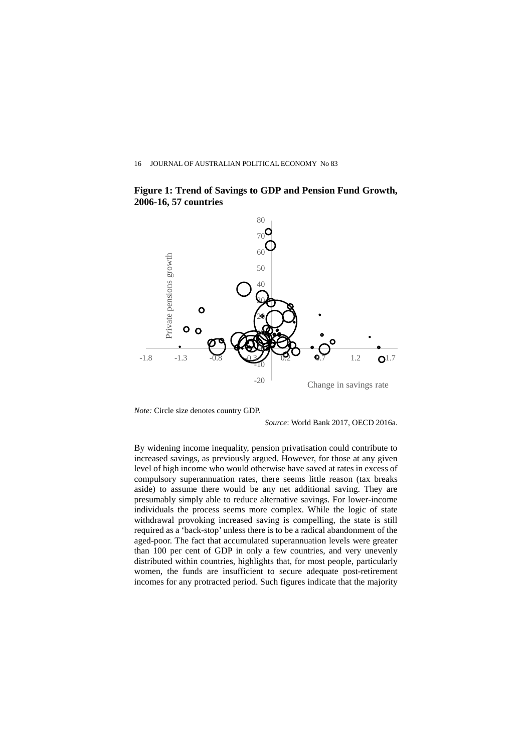



*Note:* Circle size denotes country GDP.

*Source*: World Bank 2017, OECD 2016a.

By widening income inequality, pension privatisation could contribute to increased savings, as previously argued. However, for those at any given level of high income who would otherwise have saved at rates in excess of compulsory superannuation rates, there seems little reason (tax breaks aside) to assume there would be any net additional saving. They are presumably simply able to reduce alternative savings. For lower-income individuals the process seems more complex. While the logic of state withdrawal provoking increased saving is compelling, the state is still required as a 'back-stop' unless there is to be a radical abandonment of the aged-poor. The fact that accumulated superannuation levels were greater than 100 per cent of GDP in only a few countries, and very unevenly distributed within countries, highlights that, for most people, particularly women, the funds are insufficient to secure adequate post-retirement incomes for any protracted period. Such figures indicate that the majority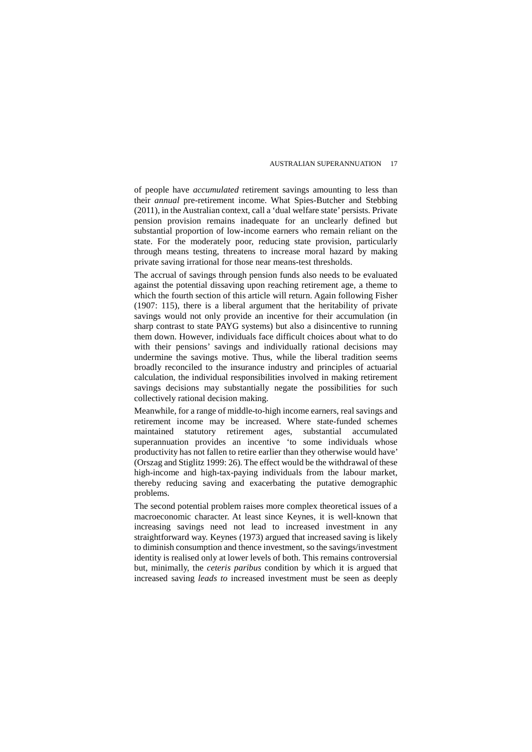of people have *accumulated* retirement savings amounting to less than their *annual* pre-retirement income. What Spies-Butcher and Stebbing (2011), in the Australian context, call a 'dual welfare state' persists. Private pension provision remains inadequate for an unclearly defined but substantial proportion of low-income earners who remain reliant on the state. For the moderately poor, reducing state provision, particularly through means testing, threatens to increase moral hazard by making private saving irrational for those near means-test thresholds.

The accrual of savings through pension funds also needs to be evaluated against the potential dissaving upon reaching retirement age, a theme to which the fourth section of this article will return. Again following Fisher (1907: 115), there is a liberal argument that the heritability of private savings would not only provide an incentive for their accumulation (in sharp contrast to state PAYG systems) but also a disincentive to running them down. However, individuals face difficult choices about what to do with their pensions' savings and individually rational decisions may undermine the savings motive. Thus, while the liberal tradition seems broadly reconciled to the insurance industry and principles of actuarial calculation, the individual responsibilities involved in making retirement savings decisions may substantially negate the possibilities for such collectively rational decision making.

Meanwhile, for a range of middle-to-high income earners, real savings and retirement income may be increased. Where state-funded schemes maintained statutory retirement ages, substantial accumulated superannuation provides an incentive 'to some individuals whose productivity has not fallen to retire earlier than they otherwise would have' (Orszag and Stiglitz 1999: 26). The effect would be the withdrawal of these high-income and high-tax-paying individuals from the labour market, thereby reducing saving and exacerbating the putative demographic problems.

The second potential problem raises more complex theoretical issues of a macroeconomic character. At least since Keynes, it is well-known that increasing savings need not lead to increased investment in any straightforward way. Keynes (1973) argued that increased saving is likely to diminish consumption and thence investment, so the savings/investment identity is realised only at lower levels of both. This remains controversial but, minimally, the *ceteris paribus* condition by which it is argued that increased saving *leads to* increased investment must be seen as deeply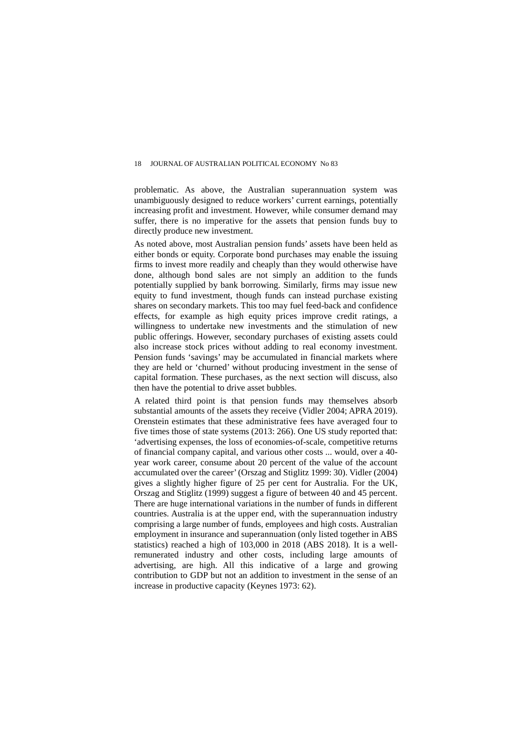problematic. As above, the Australian superannuation system was unambiguously designed to reduce workers' current earnings, potentially increasing profit and investment. However, while consumer demand may suffer, there is no imperative for the assets that pension funds buy to directly produce new investment.

As noted above, most Australian pension funds' assets have been held as either bonds or equity. Corporate bond purchases may enable the issuing firms to invest more readily and cheaply than they would otherwise have done, although bond sales are not simply an addition to the funds potentially supplied by bank borrowing. Similarly, firms may issue new equity to fund investment, though funds can instead purchase existing shares on secondary markets. This too may fuel feed-back and confidence effects, for example as high equity prices improve credit ratings, a willingness to undertake new investments and the stimulation of new public offerings. However, secondary purchases of existing assets could also increase stock prices without adding to real economy investment. Pension funds 'savings' may be accumulated in financial markets where they are held or 'churned' without producing investment in the sense of capital formation. These purchases, as the next section will discuss, also then have the potential to drive asset bubbles.

A related third point is that pension funds may themselves absorb substantial amounts of the assets they receive (Vidler 2004; APRA 2019). Orenstein estimates that these administrative fees have averaged four to five times those of state systems (2013: 266). One US study reported that: 'advertising expenses, the loss of economies-of-scale, competitive returns of financial company capital, and various other costs ... would, over a 40 year work career, consume about 20 percent of the value of the account accumulated over the career' (Orszag and Stiglitz 1999: 30). Vidler (2004) gives a slightly higher figure of 25 per cent for Australia. For the UK, Orszag and Stiglitz (1999) suggest a figure of between 40 and 45 percent. There are huge international variations in the number of funds in different countries. Australia is at the upper end, with the superannuation industry comprising a large number of funds, employees and high costs. Australian employment in insurance and superannuation (only listed together in ABS statistics) reached a high of 103,000 in 2018 (ABS 2018). It is a wellremunerated industry and other costs, including large amounts of advertising, are high. All this indicative of a large and growing contribution to GDP but not an addition to investment in the sense of an increase in productive capacity (Keynes 1973: 62).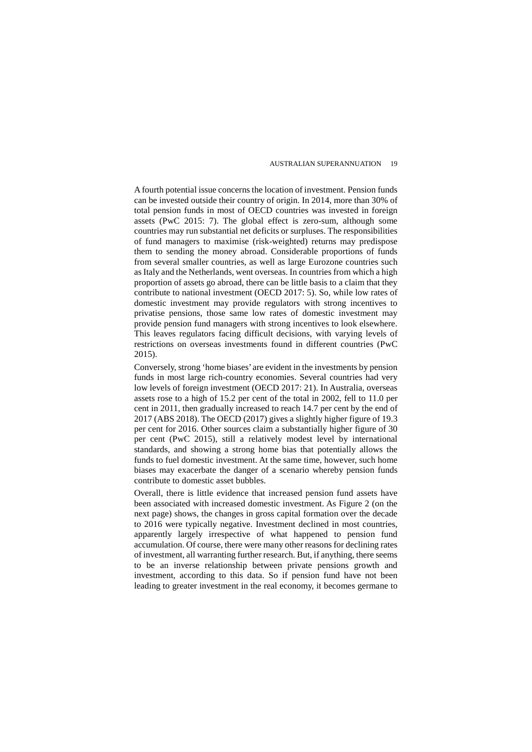A fourth potential issue concerns the location of investment. Pension funds can be invested outside their country of origin. In 2014, more than 30% of total pension funds in most of OECD countries was invested in foreign assets (PwC 2015: 7). The global effect is zero-sum, although some countries may run substantial net deficits or surpluses. The responsibilities of fund managers to maximise (risk-weighted) returns may predispose them to sending the money abroad. Considerable proportions of funds from several smaller countries, as well as large Eurozone countries such as Italy and the Netherlands, went overseas. In countries from which a high proportion of assets go abroad, there can be little basis to a claim that they contribute to national investment (OECD 2017: 5). So, while low rates of domestic investment may provide regulators with strong incentives to privatise pensions, those same low rates of domestic investment may provide pension fund managers with strong incentives to look elsewhere. This leaves regulators facing difficult decisions, with varying levels of restrictions on overseas investments found in different countries (PwC 2015).

Conversely, strong 'home biases' are evident in the investments by pension funds in most large rich-country economies. Several countries had very low levels of foreign investment (OECD 2017: 21). In Australia, overseas assets rose to a high of 15.2 per cent of the total in 2002, fell to 11.0 per cent in 2011, then gradually increased to reach 14.7 per cent by the end of 2017 (ABS 2018). The OECD (2017) gives a slightly higher figure of 19.3 per cent for 2016. Other sources claim a substantially higher figure of 30 per cent (PwC 2015), still a relatively modest level by international standards, and showing a strong home bias that potentially allows the funds to fuel domestic investment. At the same time, however, such home biases may exacerbate the danger of a scenario whereby pension funds contribute to domestic asset bubbles.

Overall, there is little evidence that increased pension fund assets have been associated with increased domestic investment. As Figure 2 (on the next page) shows, the changes in gross capital formation over the decade to 2016 were typically negative. Investment declined in most countries, apparently largely irrespective of what happened to pension fund accumulation. Of course, there were many other reasons for declining rates of investment, all warranting further research. But, if anything, there seems to be an inverse relationship between private pensions growth and investment, according to this data. So if pension fund have not been leading to greater investment in the real economy, it becomes germane to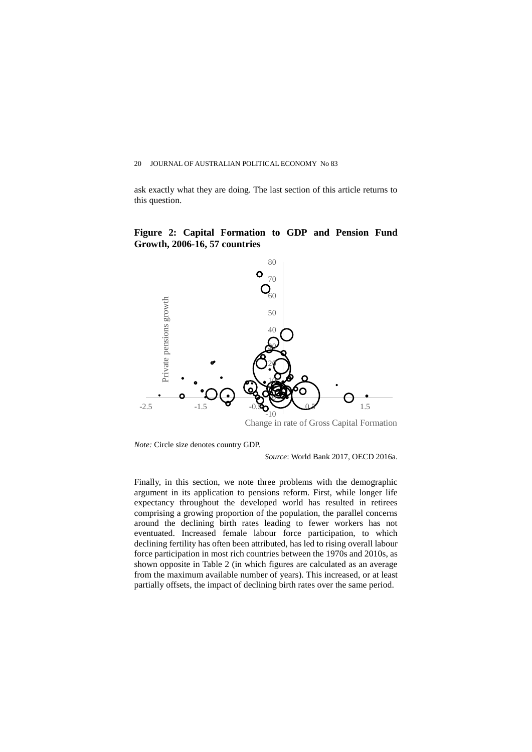ask exactly what they are doing. The last section of this article returns to this question.

# **Figure 2: Capital Formation to GDP and Pension Fund Growth, 2006-16, 57 countries**



Change in rate of Gross Capital Formation

*Note:* Circle size denotes country GDP.

*Source*: World Bank 2017, OECD 2016a.

Finally, in this section, we note three problems with the demographic argument in its application to pensions reform. First, while longer life expectancy throughout the developed world has resulted in retirees comprising a growing proportion of the population, the parallel concerns around the declining birth rates leading to fewer workers has not eventuated. Increased female labour force participation, to which declining fertility has often been attributed, has led to rising overall labour force participation in most rich countries between the 1970s and 2010s, as shown opposite in Table 2 (in which figures are calculated as an average from the maximum available number of years). This increased, or at least partially offsets, the impact of declining birth rates over the same period.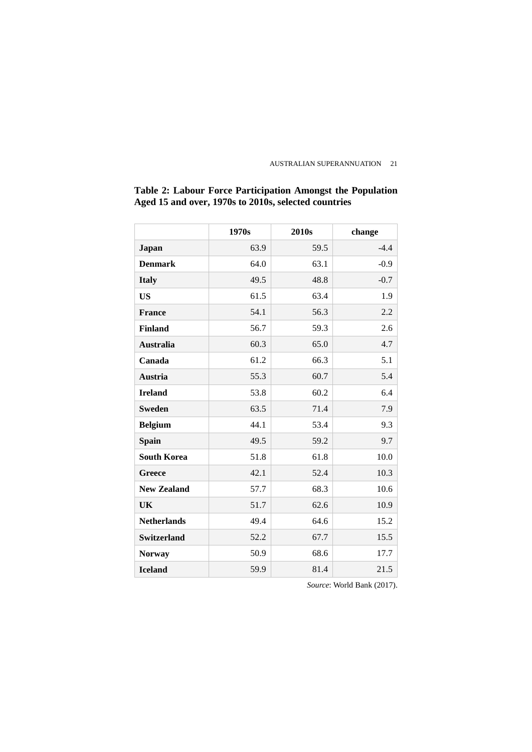|                    | 1970s | 2010 <sub>s</sub> | change |
|--------------------|-------|-------------------|--------|
| <b>Japan</b>       | 63.9  | 59.5              | $-4.4$ |
| <b>Denmark</b>     | 64.0  | 63.1              | $-0.9$ |
| <b>Italy</b>       | 49.5  | 48.8              | $-0.7$ |
| <b>US</b>          | 61.5  | 63.4              | 1.9    |
| <b>France</b>      | 54.1  | 56.3              | 2.2    |
| <b>Finland</b>     | 56.7  | 59.3              | 2.6    |
| <b>Australia</b>   | 60.3  | 65.0              | 4.7    |
| Canada             | 61.2  | 66.3              | 5.1    |
| <b>Austria</b>     | 55.3  | 60.7              | 5.4    |
| <b>Ireland</b>     | 53.8  | 60.2              | 6.4    |
| <b>Sweden</b>      | 63.5  | 71.4              | 7.9    |
| <b>Belgium</b>     | 44.1  | 53.4              | 9.3    |
| <b>Spain</b>       | 49.5  | 59.2              | 9.7    |
| <b>South Korea</b> | 51.8  | 61.8              | 10.0   |
| <b>Greece</b>      | 42.1  | 52.4              | 10.3   |
| <b>New Zealand</b> | 57.7  | 68.3              | 10.6   |
| UK                 | 51.7  | 62.6              | 10.9   |
| <b>Netherlands</b> | 49.4  | 64.6              | 15.2   |
| <b>Switzerland</b> | 52.2  | 67.7              | 15.5   |
| <b>Norway</b>      | 50.9  | 68.6              | 17.7   |
| <b>Iceland</b>     | 59.9  | 81.4              | 21.5   |

## **Table 2: Labour Force Participation Amongst the Population Aged 15 and over, 1970s to 2010s, selected countries**

*Source*: World Bank (2017).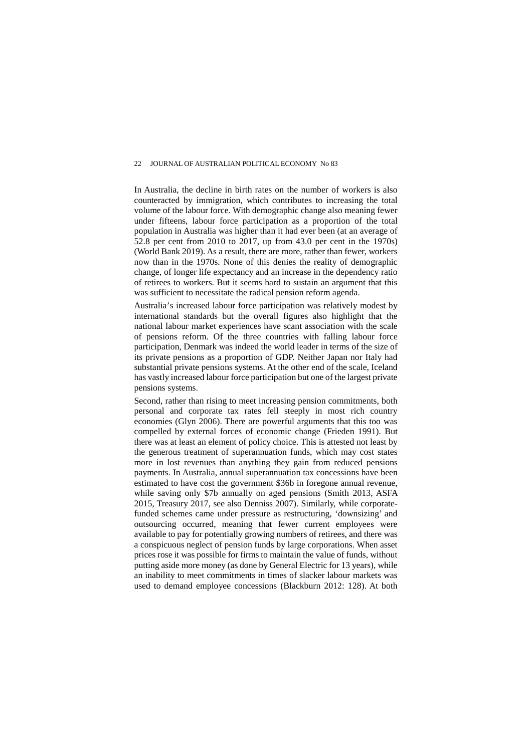In Australia, the decline in birth rates on the number of workers is also counteracted by immigration, which contributes to increasing the total volume of the labour force. With demographic change also meaning fewer under fifteens, labour force participation as a proportion of the total population in Australia was higher than it had ever been (at an average of 52.8 per cent from 2010 to 2017, up from 43.0 per cent in the 1970s) (World Bank 2019). As a result, there are more, rather than fewer, workers now than in the 1970s. None of this denies the reality of demographic change, of longer life expectancy and an increase in the dependency ratio of retirees to workers. But it seems hard to sustain an argument that this was sufficient to necessitate the radical pension reform agenda.

Australia's increased labour force participation was relatively modest by international standards but the overall figures also highlight that the national labour market experiences have scant association with the scale of pensions reform. Of the three countries with falling labour force participation, Denmark was indeed the world leader in terms of the size of its private pensions as a proportion of GDP. Neither Japan nor Italy had substantial private pensions systems. At the other end of the scale, Iceland has vastly increased labour force participation but one of the largest private pensions systems.

Second, rather than rising to meet increasing pension commitments, both personal and corporate tax rates fell steeply in most rich country economies (Glyn 2006). There are powerful arguments that this too was compelled by external forces of economic change (Frieden 1991). But there was at least an element of policy choice. This is attested not least by the generous treatment of superannuation funds, which may cost states more in lost revenues than anything they gain from reduced pensions payments. In Australia, annual superannuation tax concessions have been estimated to have cost the government \$36b in foregone annual revenue, while saving only \$7b annually on aged pensions (Smith 2013, ASFA 2015, Treasury 2017, see also Denniss 2007). Similarly, while corporatefunded schemes came under pressure as restructuring, 'downsizing' and outsourcing occurred, meaning that fewer current employees were available to pay for potentially growing numbers of retirees, and there was a conspicuous neglect of pension funds by large corporations. When asset prices rose it was possible for firms to maintain the value of funds, without putting aside more money (as done by General Electric for 13 years), while an inability to meet commitments in times of slacker labour markets was used to demand employee concessions (Blackburn 2012: 128). At both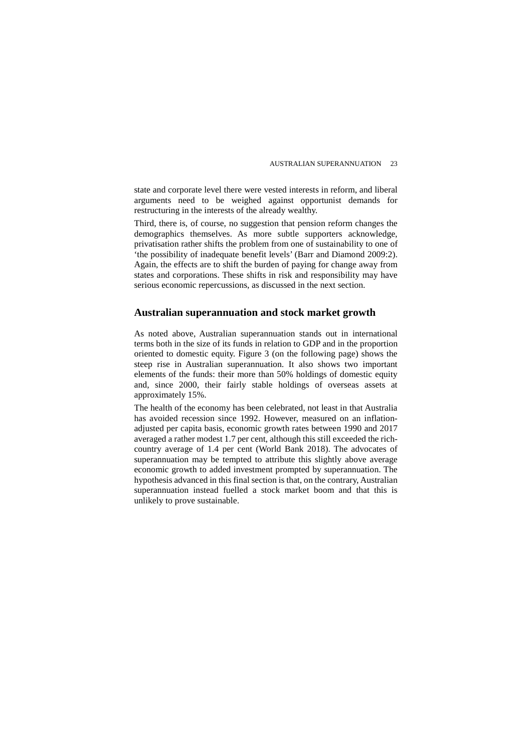state and corporate level there were vested interests in reform, and liberal arguments need to be weighed against opportunist demands for restructuring in the interests of the already wealthy.

Third, there is, of course, no suggestion that pension reform changes the demographics themselves. As more subtle supporters acknowledge, privatisation rather shifts the problem from one of sustainability to one of 'the possibility of inadequate benefit levels' (Barr and Diamond 2009:2). Again, the effects are to shift the burden of paying for change away from states and corporations. These shifts in risk and responsibility may have serious economic repercussions, as discussed in the next section.

### **Australian superannuation and stock market growth**

As noted above, Australian superannuation stands out in international terms both in the size of its funds in relation to GDP and in the proportion oriented to domestic equity. Figure 3 (on the following page) shows the steep rise in Australian superannuation. It also shows two important elements of the funds: their more than 50% holdings of domestic equity and, since 2000, their fairly stable holdings of overseas assets at approximately 15%.

The health of the economy has been celebrated, not least in that Australia has avoided recession since 1992. However, measured on an inflationadjusted per capita basis, economic growth rates between 1990 and 2017 averaged a rather modest 1.7 per cent, although this still exceeded the richcountry average of 1.4 per cent (World Bank 2018). The advocates of superannuation may be tempted to attribute this slightly above average economic growth to added investment prompted by superannuation. The hypothesis advanced in this final section is that, on the contrary, Australian superannuation instead fuelled a stock market boom and that this is unlikely to prove sustainable.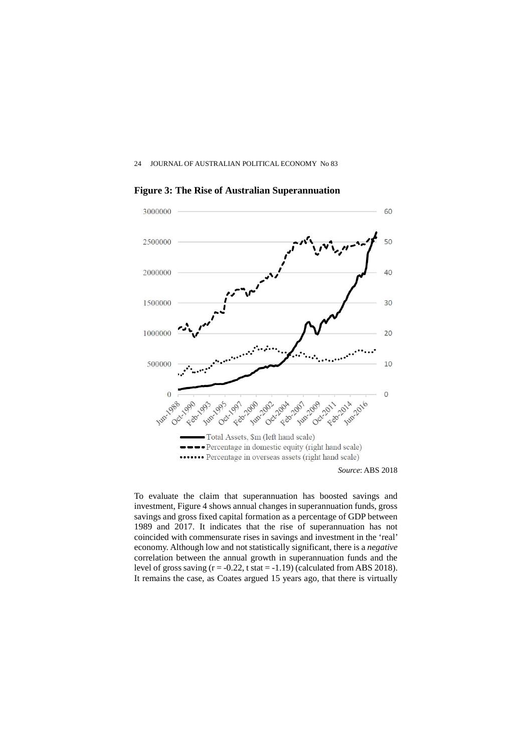

**Figure 3: The Rise of Australian Superannuation**

To evaluate the claim that superannuation has boosted savings and investment, Figure 4 shows annual changes in superannuation funds, gross savings and gross fixed capital formation as a percentage of GDP between 1989 and 2017. It indicates that the rise of superannuation has not coincided with commensurate rises in savings and investment in the 'real' economy. Although low and not statistically significant, there is a *negative* correlation between the annual growth in superannuation funds and the level of gross saving  $(r = -0.22, t \text{ stat} = -1.19)$  (calculated from ABS 2018). It remains the case, as Coates argued 15 years ago, that there is virtually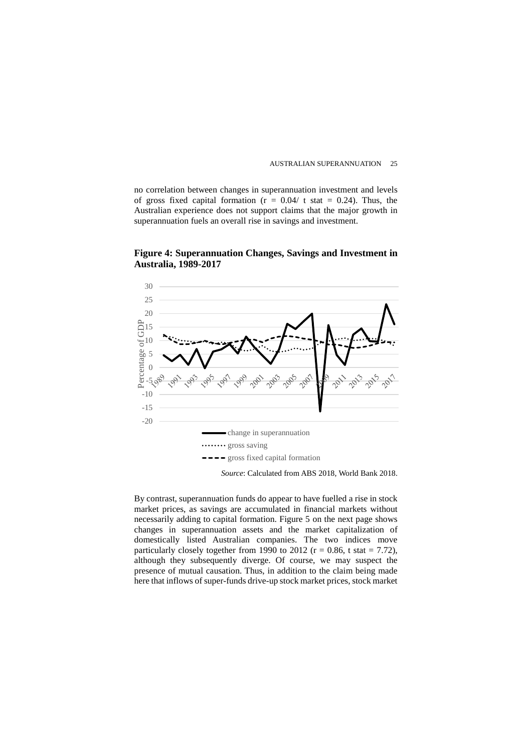no correlation between changes in superannuation investment and levels of gross fixed capital formation ( $r = 0.04/$  t stat = 0.24). Thus, the Australian experience does not support claims that the major growth in superannuation fuels an overall rise in savings and investment.



**Figure 4: Superannuation Changes, Savings and Investment in Australia, 1989-2017**

By contrast, superannuation funds do appear to have fuelled a rise in stock market prices, as savings are accumulated in financial markets without necessarily adding to capital formation. Figure 5 on the next page shows changes in superannuation assets and the market capitalization of domestically listed Australian companies. The two indices move particularly closely together from 1990 to 2012 ( $r = 0.86$ , t stat = 7.72), although they subsequently diverge. Of course, we may suspect the presence of mutual causation. Thus, in addition to the claim being made here that inflows of super-funds drive-up stock market prices, stock market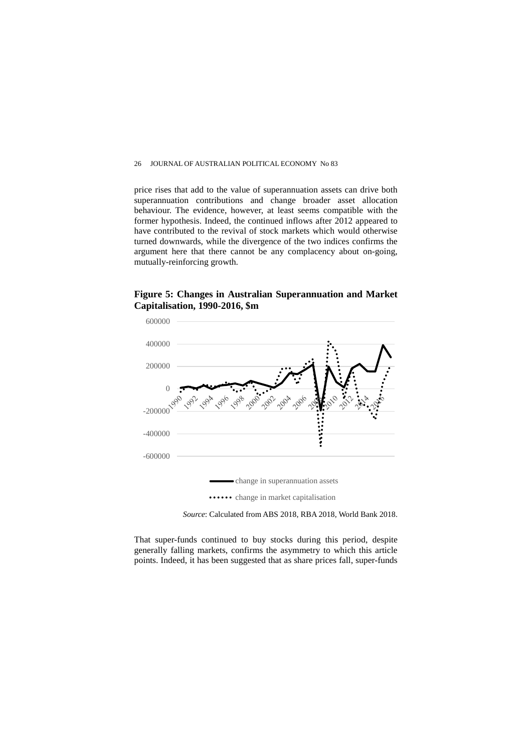price rises that add to the value of superannuation assets can drive both superannuation contributions and change broader asset allocation behaviour. The evidence, however, at least seems compatible with the former hypothesis. Indeed, the continued inflows after 2012 appeared to have contributed to the revival of stock markets which would otherwise turned downwards, while the divergence of the two indices confirms the argument here that there cannot be any complacency about on-going, mutually-reinforcing growth.

**Figure 5: Changes in Australian Superannuation and Market Capitalisation, 1990-2016, \$m**



That super-funds continued to buy stocks during this period, despite generally falling markets, confirms the asymmetry to which this article points. Indeed, it has been suggested that as share prices fall, super-funds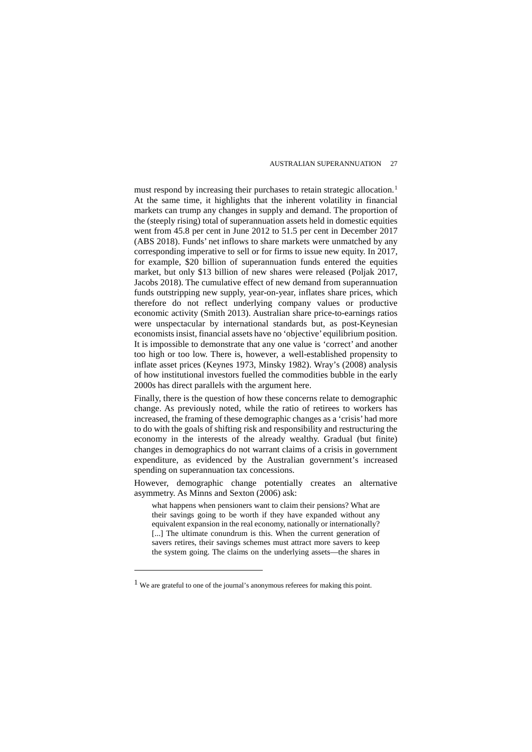must respond by increasing their purchases to retain strategic allocation.<sup>[1](#page-22-0)</sup> At the same time, it highlights that the inherent volatility in financial markets can trump any changes in supply and demand. The proportion of the (steeply rising) total of superannuation assets held in domestic equities went from 45.8 per cent in June 2012 to 51.5 per cent in December 2017 (ABS 2018). Funds' net inflows to share markets were unmatched by any corresponding imperative to sell or for firms to issue new equity. In 2017, for example, \$20 billion of superannuation funds entered the equities market, but only \$13 billion of new shares were released (Poljak 2017, Jacobs 2018). The cumulative effect of new demand from superannuation funds outstripping new supply, year-on-year, inflates share prices, which therefore do not reflect underlying company values or productive economic activity (Smith 2013). Australian share price-to-earnings ratios were unspectacular by international standards but, as post-Keynesian economists insist, financial assets have no 'objective' equilibrium position. It is impossible to demonstrate that any one value is 'correct' and another too high or too low. There is, however, a well-established propensity to inflate asset prices (Keynes 1973, Minsky 1982). Wray's (2008) analysis of how institutional investors fuelled the commodities bubble in the early 2000s has direct parallels with the argument here.

Finally, there is the question of how these concerns relate to demographic change. As previously noted, while the ratio of retirees to workers has increased, the framing of these demographic changes as a 'crisis' had more to do with the goals of shifting risk and responsibility and restructuring the economy in the interests of the already wealthy. Gradual (but finite) changes in demographics do not warrant claims of a crisis in government expenditure, as evidenced by the Australian government's increased spending on superannuation tax concessions.

However, demographic change potentially creates an alternative asymmetry. As Minns and Sexton (2006) ask:

what happens when pensioners want to claim their pensions? What are their savings going to be worth if they have expanded without any equivalent expansion in the real economy, nationally or internationally? [...] The ultimate conundrum is this. When the current generation of savers retires, their savings schemes must attract more savers to keep the system going. The claims on the underlying assets—the shares in

 $\overline{a}$ 

<span id="page-22-0"></span><sup>1</sup> We are grateful to one of the journal's anonymous referees for making this point.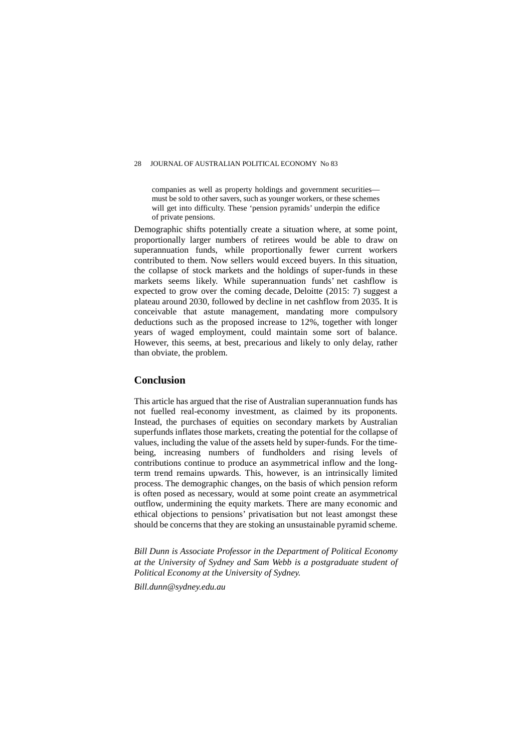companies as well as property holdings and government securities must be sold to other savers, such as younger workers, or these schemes will get into difficulty. These 'pension pyramids' underpin the edifice of private pensions.

Demographic shifts potentially create a situation where, at some point, proportionally larger numbers of retirees would be able to draw on superannuation funds, while proportionally fewer current workers contributed to them. Now sellers would exceed buyers. In this situation, the collapse of stock markets and the holdings of super-funds in these markets seems likely. While superannuation funds' net cashflow is expected to grow over the coming decade, Deloitte (2015: 7) suggest a plateau around 2030, followed by decline in net cashflow from 2035. It is conceivable that astute management, mandating more compulsory deductions such as the proposed increase to 12%, together with longer years of waged employment, could maintain some sort of balance. However, this seems, at best, precarious and likely to only delay, rather than obviate, the problem.

### **Conclusion**

This article has argued that the rise of Australian superannuation funds has not fuelled real-economy investment, as claimed by its proponents. Instead, the purchases of equities on secondary markets by Australian superfunds inflates those markets, creating the potential for the collapse of values, including the value of the assets held by super-funds. For the timebeing, increasing numbers of fundholders and rising levels of contributions continue to produce an asymmetrical inflow and the longterm trend remains upwards. This, however, is an intrinsically limited process. The demographic changes, on the basis of which pension reform is often posed as necessary, would at some point create an asymmetrical outflow, undermining the equity markets. There are many economic and ethical objections to pensions' privatisation but not least amongst these should be concerns that they are stoking an unsustainable pyramid scheme.

*Bill Dunn is Associate Professor in the Department of Political Economy at the University of Sydney and Sam Webb is a postgraduate student of Political Economy at the University of Sydney.* 

*Bill.dunn@sydney.edu.au*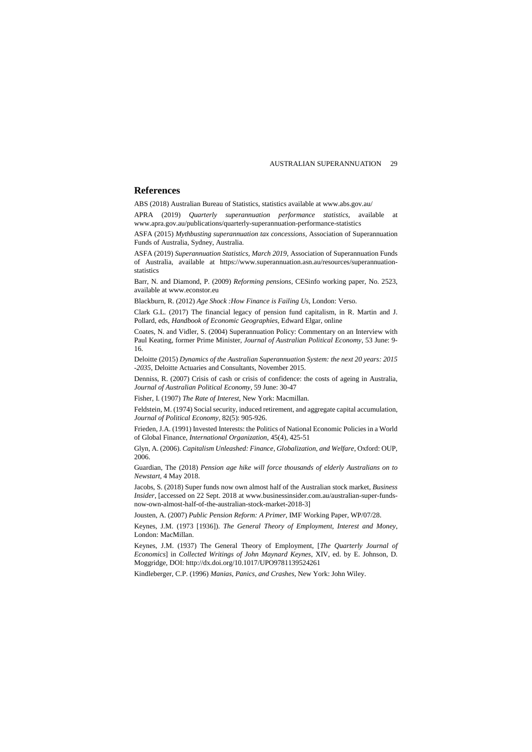## **References**

ABS (2018) Australian Bureau of Statistics, statistics available at www.abs.gov.au/

APRA (2019) *Quarterly superannuation performance statistics*, available at www.apra.gov.au/publications/quarterly-superannuation-performance-statistics

ASFA (2015) *Mythbusting superannuation tax concessions*, Association of Superannuation Funds of Australia, Sydney, Australia.

ASFA (2019) *Superannuation Statistics, March 2019*, Association of Superannuation Funds of Australia, available at https://www.superannuation.asn.au/resources/superannuationstatistics

Barr, N. and Diamond, P. (2009) *Reforming pensions*, CESinfo working paper, No. 2523, available at www.econstor.eu

Blackburn, R. (2012) *Age Shock :How Finance is Failing Us*, London: Verso.

Clark G.L. (2017) The financial legacy of pension fund capitalism, in R. Martin and J. Pollard, eds, *Handbook of Economic Geographies*, Edward Elgar, online

Coates, N. and Vidler, S. (2004) Superannuation Policy: Commentary on an Interview with Paul Keating, former Prime Minister, *Journal of Australian Political Economy*, 53 June: 9- 16.

Deloitte (2015) *Dynamics of the Australian Superannuation System: the next 20 years: 2015 -2035*, Deloitte Actuaries and Consultants, November 2015.

Denniss, R. (2007) Crisis of cash or crisis of confidence: the costs of ageing in Australia, *Journal of Australian Political Economy*, 59 June: 30-47

Fisher, I. (1907) *The Rate of Interest*, New York: Macmillan.

Feldstein, M. (1974) Social security, induced retirement, and aggregate capital accumulation, *Journal of Political Economy*, 82(5): 905-926.

Frieden, J.A. (1991) Invested Interests: the Politics of National Economic Policies in a World of Global Finance, *International Organization*, 45(4), 425-51

Glyn, A. (2006). *Capitalism Unleashed: Finance, Globalization, and Welfare*, Oxford: OUP, 2006.

Guardian, The (2018) *Pension age hike will force thousands of elderly Australians on to Newstart*, 4 May 2018.

Jacobs, S. (2018) Super funds now own almost half of the Australian stock market, *Business Insider*, [accessed on 22 Sept. 2018 at www.businessinsider.com.au/australian-super-fundsnow-own-almost-half-of-the-australian-stock-market-2018-3]

Jousten, A. (2007) *Public Pension Reform: A Primer*, IMF Working Paper, WP/07/28.

Keynes, J.M. (1973 [1936]). *The General Theory of Employment, Interest and Money*, London: MacMillan.

Keynes, J.M. (1937) The General Theory of Employment, [*The Quarterly Journal of Economics*] in *Collected Writings of John Maynard Keynes*, XIV, ed. by E. Johnson, D. Moggridge, DOI: http://dx.doi.org/10.1017/UPO9781139524261

Kindleberger, C.P. (1996) *Manias, Panics, and Crashes*, New York: John Wiley.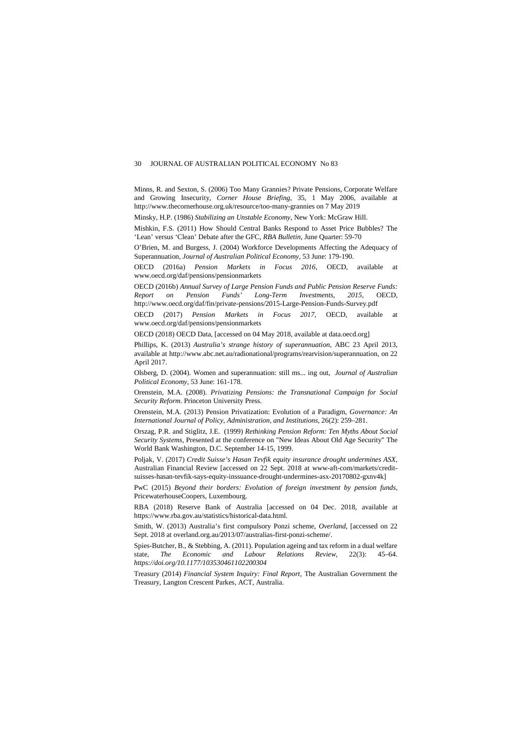Minns, R. and Sexton, S. (2006) Too Many Grannies? Private Pensions, Corporate Welfare and Growing Insecurity, *Corner House Briefing*, 35, 1 May 2006, available at http://www.thecornerhouse.org.uk/resource/too-many-grannies on 7 May 2019

Minsky, H.P. (1986) *Stabilizing an Unstable Economy*, New York: McGraw Hill.

Mishkin, F.S. (2011) How Should Central Banks Respond to Asset Price Bubbles? The 'Lean' versus 'Clean' Debate after the GFC, *RBA Bulletin*, June Quarter: 59-70

O'Brien, M. and Burgess, J. (2004) Workforce Developments Affecting the Adequacy of Superannuation, *Journal of Australian Political Economy*, 53 June: 179-190.

OECD (2016a) *Pension Markets in Focus 2016*, OECD, available at www.oecd.org/daf/pensions/pensionmarkets

OECD (2016b) *Annual Survey of Large Pension Funds and Public Pension Reserve Funds: Report on Pension Funds' Long-Term Investments, 2015*, OECD, http://www.oecd.org/daf/fin/private-pensions/2015-Large-Pension-Funds-Survey.pdf

OECD (2017) *Pension Markets in Focus 2017*, OECD, available at www.oecd.org/daf/pensions/pensionmarkets

OECD (2018) OECD Data, [accessed on 04 May 2018, available at data.oecd.org]

Phillips, K. (2013) *Australia's strange history of superannuation*, ABC 23 April 2013, available at http://www.abc.net.au/radionational/programs/rearvision/superannuation, on 22 April 2017.

Olsberg, D. (2004). Women and superannuation: still ms... ing out, *Journal of Australian Political Economy*, 53 June: 161-178.

Orenstein, M.A. (2008). *Privatizing Pensions: the Transnational Campaign for Social Security Reform*. Princeton University Press.

Orenstein, M.A. (2013) Pension Privatization: Evolution of a Paradigm, *Governance: An International Journal of Policy, Administration, and Institutions*, 26(2): 259–281.

Orszag, P.R. and Stiglitz, J.E. (1999) *Rethinking Pension Reform: Ten Myths About Social Security Systems*, Presented at the conference on "New Ideas About Old Age Security" The World Bank Washington, D.C. September 14-15, 1999.

Poljak, V. (2017) *Credit Suisse's Hasan Tevfik equity insurance drought undermines ASX*, Australian Financial Review [accessed on 22 Sept. 2018 at www-aft-com/markets/creditsuisses-hasan-tevfik-says-equity-inssuance-drought-undermines-asx-20170802-gxnv4k]

PwC (2015) *Beyond their borders: Evolution of foreign investment by pension funds*, PricewaterhouseCoopers, Luxembourg.

RBA (2018) Reserve Bank of Australia [accessed on 04 Dec. 2018, available at https://www.rba.gov.au/statistics/historical-data.html.

Smith, W. (2013) Australia's first compulsory Ponzi scheme, *Overland*, [accessed on 22 Sept. 2018 at overland.org.au/2013/07/australias-first-ponzi-scheme/.

Spies-Butcher, B., & Stebbing, A. (2011). Population ageing and tax reform in a dual welfare state, *The Economic and Labour Relations Review*, 22(3): 45–64. *https://doi.org/10.1177/103530461102200304*

Treasury (2014) *Financial System Inquiry: Final Report*, The Australian Government the Treasury, Langton Crescent Parkes, ACT, Australia.